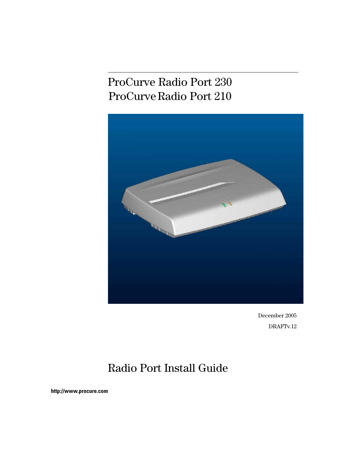## ProCurve Radio Port 230 ProCurve Radio Port 210



December 2005 DRAFTv.12

## Radio Port Install Guide

**http://www.procure.com**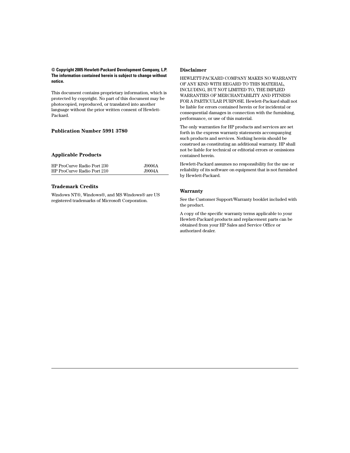#### **© Copyright 2005 Hewlett-Packard Development Company, L.P. The information contained herein is subject to change without notice.**

This document contains proprietary information, which is protected by copyright. No part of this document may be photocopied, reproduced, or translated into another language without the prior written consent of Hewlett-Packard.

#### **Publication Number 5991 3780**

#### **Applicable Products**

| HP ProCurve Radio Port 230 | J9006A |
|----------------------------|--------|
| HP ProCurve Radio Port 210 | J9004A |

#### **Trademark Credits**

Windows NT®, Windows®, and MS Windows® are US registered trademarks of Microsoft Corporation.

#### **Disclaimer**

HEWLETT-PACKARD COMPANY MAKES NO WARRANTY OF ANY KIND WITH REGARD TO THIS MATERIAL, INCLUDING, BUT NOT LIMITED TO, THE IMPLIED WARRANTIES OF MERCHANTABILITY AND FITNESS FOR A PARTICULAR PURPOSE. Hewlett-Packard shall not be liable for errors contained herein or for incidental or consequential damages in connection with the furnishing, performance, or use of this material.

The only warranties for HP products and services are set forth in the express warranty statements accompanying such products and services. Nothing herein should be construed as constituting an additional warranty. HP shall not be liable for technical or editorial errors or omissions contained herein.

Hewlett-Packard assumes no responsibility for the use or reliability of its software on equipment that is not furnished by Hewlett-Packard.

#### **Warranty**

See the Customer Support/Warranty booklet included with the product.

A copy of the specific warranty terms applicable to your Hewlett-Packard products and replacement parts can be obtained from your HP Sales and Service Office or authorized dealer.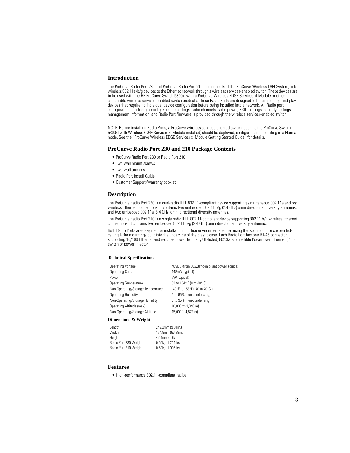#### **Introduction**

The ProCurve Radio Port 230 and ProCurve Radio Port 210, components of the ProCurve Wireless LAN System, link wireless 802.11a/b/g devices to the Ethernet network through a wireless services-enabled switch. These devices are to be used with the HP ProCurve Switch 5300xl with a ProCurve Wireless EDGE Services xl Module or other compatible wireless services-enabled switch products. These Radio Ports are designed to be simple plug-and-play devices that require no individual device configuration before being installed into a network. All Radio port configurations, including country-specific settings, radio channels, radio power, SSID settings, security settings, management information, and Radio Port firmware is provided through the wireless services-enabled switch.

NOTE: Before installing Radio Ports, a ProCurve wireless services-enabled switch (such as the ProCurve Switch 5300xl with Wireless EDGE Services xl Module installed) should be deployed, configured and operating in a Normal mode. See the "ProCurve Wireless EDGE Services xl Module Getting Started Guide" for details.

#### **ProCurve Radio Port 230 and 210 Package Contents**

- ProCurve Radio Port 230 or Radio Port 210
- Two wall mount screws
- Two wall anchors
- Radio Port Install Guide
- Customer Support/Warranty booklet

#### **Description**

The ProCurve Radio Port 230 is a dual-radio IEEE 802.11-compliant device supporting simultaneous 802.11a and b/g wireless Ethernet connections. It contains two embedded 802.11 b/g (2.4 GHz) omni directional diversity antennas, and two embedded 802.11a (5.4 GHz) omni directional diversity antennas.

The ProCurve Radio Port 210 is a single radio IEEE 802.11-compliant device supporting 802.11 b/g wireless Ethernet connections. It contains two embedded 802.11 b/g (2.4 GHz) omni directional diversity antennas.

Both Radio Ports are designed for installation in office environments, either using the wall mount or suspendedceiling T-Bar mountings built into the underside of the plastic case. Each Radio Port has one RJ-45 connector supporting 10/100 Ethernet and requires power from any UL-listed, 802.3af-compatible Power over Ethernet (PoE) switch or power injector.

#### **Technical Specifications**

| Operating Voltage                 | 48VDC (from 802.3af-compliant power source) |
|-----------------------------------|---------------------------------------------|
| <b>Operating Current</b>          | 148mA (typical)                             |
| Power                             | 7W (typical)                                |
| Operating Temperature             | 32 to 104° F (0 to 40° C)                   |
| Non-Operating/Storage Temperature | -40°F to 158°F (-40 to 70°C)                |
| <b>Operating Humidity</b>         | 5 to 95% (non-condensing)                   |
| Non-Operating/Storage Humidity    | 5 to 95% (non-condensing)                   |
| Operating Altitude (max)          | 10,000 ft (3,048 m)                         |
| Non-Operating/Storage Altitude    | 15,000ft.(4,572 m)                          |
|                                   |                                             |

#### **Dimensions & Weight**

| Length                | 249.2mm (9.81in.)  |
|-----------------------|--------------------|
| Width                 | 174.9mm (56.88in.) |
| Height                | 42.4mm (1.67in.)   |
| Radio Port 230 Weight | 0.55kg (1.214lbs)  |
| Radio Port 210 Weight | 0.50kg (1.096lbs)  |

#### **Features**

• High-performance 802.11-compliant radios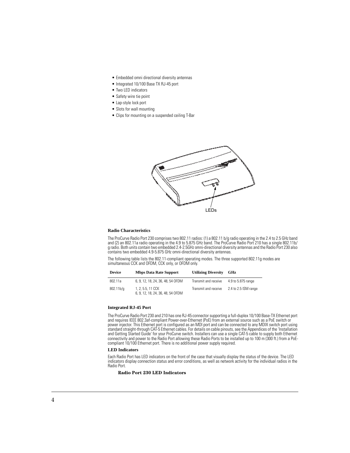- Embedded omni directional diversity antennas
- Integrated 10/100 Base TX RJ-45 port
- Two LED indicators
- Safety wire tie point
- Lap-style lock port
- Slots for wall mounting
- Clips for mounting on a suspended ceiling T-Bar



#### **Radio Characteristics**

The ProCurve Radio Port 230 comprises two 802.11 radios: (1) a 802.11 b/g radio operating in the 2.4 to 2.5 GHz band and (2) an 802.11a radio operating in the 4.9 to 5.875 GHz band. The ProCurve Radio Port 210 has a single 802.11b/ g radio. Both units contain two embedded 2.4-2.5GHz omni-directional diversity antennas and the Radio Port 230 also contains two embedded 4.9-5.875 GHz omni-directional diversity antennas.

The following table lists the 802.11-compliant operating modes. The three supported 802.11g modes are simultaneous CCK and OFDM, CCK only, or OFDM only.

| <b>Device</b> | <b>Mbps Data Rate Support</b>                          | <b>Utilizing Diversity</b> | GHz                  |
|---------------|--------------------------------------------------------|----------------------------|----------------------|
| 802.11a       | 6, 9, 12, 18, 24, 36, 48, 54 OFDM                      | Transmit and receive       | 4.9 to 5.875 range   |
| $802.11b$ /g  | 1, 2, 5.5, 11 CCK<br>6, 9, 12, 18, 24, 36, 48, 54 OFDM | Transmit and receive       | 2.4 to 2.5 ISM range |

#### **Integrated RJ-45 Port**

The ProCurve Radio Port 230 and 210 has one RJ-45 connector supporting a full-duplex 10/100 Base-TX Ethernet port and requires IEEE 802.3af-compliant Power-over-Ethernet (PoE) from an external source such as a PoE switch or power injector. This Ethernet port is configured as an MDI port and can be connected to any MDIX switch port using standard straight-through CAT-5 Ethernet cables. For details on cable pinouts, see the Appendices of the 'Installation and Getting Started Guide' for your ProCurve switch. Installers can use a single CAT-5 cable to supply both Ethernet connectivity and power to the Radio Port allowing these Radio Ports to be installed up to 100 m (300 ft.) from a PoEcompliant 10/100 Ethernet port. There is no additional power supply required.

#### **LED Indicators**

Each Radio Port has LED indicators on the front of the case that visually display the status of the device. The LED indicators display connection status and error conditions, as well as network activity for the individual radios in the Radio Port.

#### **Radio Port 230 LED Indicators**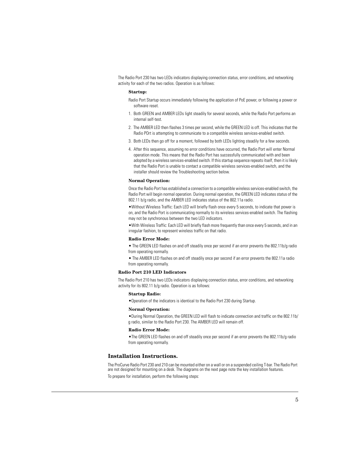The Radio Port 230 has two LEDs indicators displaying connection status, error conditions, and networking activity for each of the two radios. Operation is as follows:

#### **Startup:**

- Radio Port Startup occurs immediately following the application of PoE power, or following a power or software reset.
- 1. Both GREEN and AMBER LEDs light steadily for several seconds, while the Radio Port performs an internal self-test.
- 2. The AMBER LED then flashes 3 times per second, while the GREEN LED is off. This indicates that the Radio POrt is attempting to communicate to a compatible wireless services-enabled switch.
- 3. Both LEDs then go off for a moment, followed by both LEDs lighting steadily for a few seconds.
- 4. After this sequence, assuming no error conditions have occurred, the Radio Port will enter Normal operation mode. This means that the Radio Port has successfully communicated with and been adopted by a wireless services-enabled switch. If this startup sequence repeats itself, then it is likely that the Radio Port is unable to contact a compatible wireless services-enabled switch, and the installer should review the Troubleshooting section below.

#### **Normal Operation:**

Once the Radio Port has established a connection to a compatible wireless services-enabled switch, the Radio Port will begin normal operation. During normal operation, the GREEN LED indicates status of the 802.11 b/g radio, and the AMBER LED indicates status of the 802.11a radio.

•Without Wireless Traffic: Each LED will briefly flash once every 5 seconds, to indicate that power is on, and the Radio Port is communicating normally to its wireless services-enabled switch. The flashing may not be synchronous between the two LED indicators.

•With Wireless Traffic: Each LED will briefly flash more frequently than once every 5 seconds, and in an irregular fashion, to represent wireless traffic on that radio.

#### **Radio Error Mode:**

- The GREEN LED flashes on and off steadily once per second if an error prevents the 802.11b/g radio from operating normally.
- The AMBER LED flashes on and off steadily once per second if an error prevents the 802.11a radio from operating normally.

#### **Radio Port 210 LED Indicators**

The Radio Port 210 has two LEDs indicators displaying connection status, error conditions, and networking activity for its 802.11 b/g radio. Operation is as follows:

#### **Startup Radio:**

•Operation of the indicators is identical to the Radio Port 230 during Startup.

#### **Normal Operation:**

•During Normal Operation, the GREEN LED will flash to indicate connection and traffic on the 802.11b/ g radio, similar to the Radio Port 230. The AMBER LED will remain off.

#### **Radio Error Mode:**

•The GREEN LED flashes on and off steadily once per second if an error prevents the 802.11b/g radio from operating normally.

#### **Installation Instructions.**

The ProCurve Radio Port 230 and 210 can be mounted either on a wall or on a suspended ceiling T-bar. The Radio Port are not designed for mounting on a desk. The diagrams on the next page note the key installation features.

To prepare for installation, perform the following steps: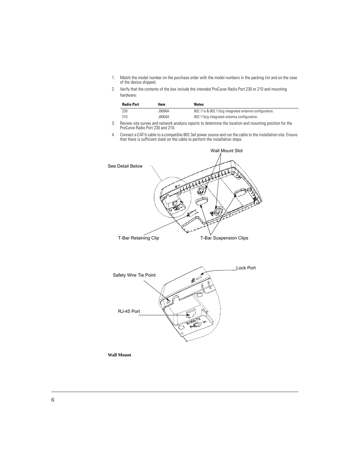- 1. Match the model number on the purchase order with the model numbers in the packing list and on the case of the device shipped.
- 2. Verify that the contents of the box include the intended ProCurve Radio Port 230 or 210 and mounting hardware:

| <b>Radio Port</b> | Item   | <b>Notes</b>                                          |
|-------------------|--------|-------------------------------------------------------|
| 230               | A3006A | 802.11a & 802.11b/g integrated antenna configuration. |
| 210               | J9004A | 802.11b/g integrated antenna configuration.           |

- 3. Review site survey and network analysis reports to determine the location and mounting position for the ProCurve Radio Port 230 and 210.
- 4. Connect a CAT-5 cable to a compatible 802.3af power source and run the cable to the installation site. Ensure that there is sufficient slack on the cable to perform the installation steps.



**Wall Mount**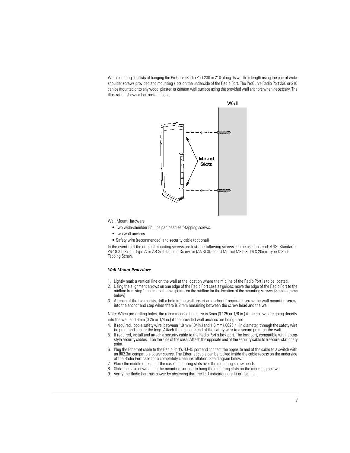Wall mounting consists of hanging the ProCurve Radio Port 230 or 210 along its width or length using the pair of wideshoulder screws provided and mounting slots on the underside of the Radio Port. The ProCurve Radio Port 230 or 210 can be mounted onto any wood, plaster, or cement wall surface using the provided wall anchors when necessary. The illustration shows a horizontal mount.



Wall Mount Hardware

- Two wide-shoulder Phillips pan head self-tapping screws.
- Two wall anchors.
- Safety wire (recommended) and security cable (optional)

In the event that the original mounting screws are lost, the following screws can be used instead: ANSI Standard) #6-18 X 0.875in. Type A or AB Self-Tapping Screw, or (ANSI Standard Metric) M3.5 X 0.6 X 20mm Type D Self-Tapping Screw.

#### *Wall Mount Procedure*

- 1. Lightly mark a vertical line on the wall at the location where the midline of the Radio Port is to be located.
- 2. Using the alignment arrows on one edge of the Radio Port case as guides, move the edge of the Radio Port to the midline from step 1. and mark the two points on the midline for the location of the mounting screws. (See diagrams below)
- 3. At each of the two points, drill a hole in the wall, insert an anchor (if required), screw the wall mounting screw into the anchor and stop when there is 2 mm remaining between the screw head and the wall

Note: When pre-drilling holes, the recommended hole size is 3mm (0.125 or 1/8 in.) if the screws are going directly into the wall and 6mm (0.25 or 1/4 in.) if the provided wall anchors are being used.

- 4. If required, loop a safety wire, between 1.0 mm (.04in.) and 1.6 mm (.0625in.) in diameter, through the safety wire tie point and secure the loop. Attach the opposite end of the safety wire to a secure point on the wall.
- 5. If required, install and attach a security cable to the Radio Port's lock port. The lock port, compatible with laptopstyle security cables, is on the side of the case. Attach the opposite end of the security cable to a secure, stationary point.
- 6. Plug the Ethernet cable to the Radio Port's RJ-45 port and connect the opposite end of the cable to a switch with an 802.3af compatible power source. The Ethernet cable can be tucked inside the cable recess on the underside of the Radio Port case for a completely clean installation. See diagram below.
- 7. Place the middle of each of the case's mounting slots over the mounting screw heads.
- 8. Slide the case down along the mounting surface to hang the mounting slots on the mounting screws.
- 9. Verify the Radio Port has power by observing that the LED indicators are lit or flashing.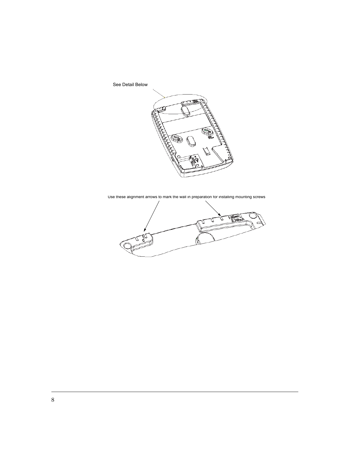See Detail Below



Use these alignment arrows to mark the wall in preparation for installing mounting screws

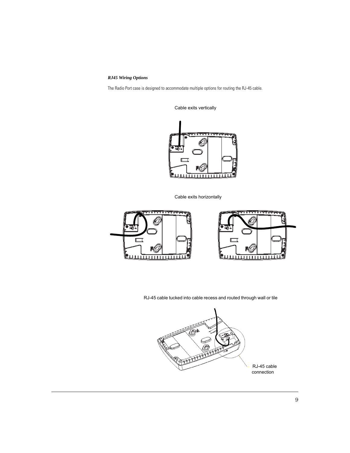#### *RJ45 Wiring Options*

The Radio Port case is designed to accommodate multiple options for routing the RJ-45 cable.



Cable exits vertically

Cable exits horizontally



RJ-45 cable tucked into cable recess and routed through wall or tile

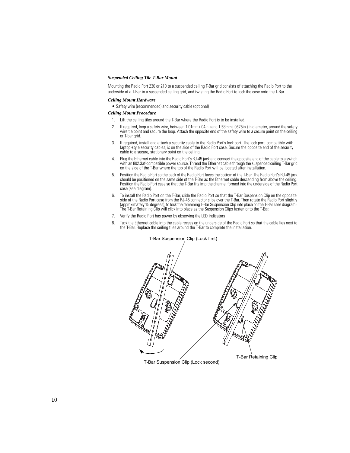#### *Suspended Ceiling Tile T-Bar Mount*

Mounting the Radio Port 230 or 210 to a suspended ceiling T-Bar grid consists of attaching the Radio Port to the underside of a T-Bar in a suspended ceiling grid, and twisting the Radio Port to lock the case onto the T-Bar.

#### *Ceiling Mount Hardware*

• Safety wire (recommended) and security cable (optional)

#### *Ceiling Mount Procedure*

- 1. Lift the ceiling tiles around the T-Bar where the Radio Port is to be installed.
- 2. If required, loop a safety wire, between 1.01mm (.04in.) and 1.58mm (.0625in.) in diameter, around the safety wire tie point and secure the loop. Attach the opposite end of the safety wire to a secure point on the ceiling or T-bar grid.
- 3. If required, install and attach a security cable to the Radio Port's lock port. The lock port, compatible with laptop-style security cables, is on the side of the Radio Port case. Secure the opposite end of the security cable to a secure, stationary point on the ceiling.
- 4. Plug the Ethernet cable into the Radio Port's RJ-45 jack and connect the opposite end of the cable to a switch with an 802.3af-compatible power source. Thread the Ethernet cable through the suspended ceiling T-Bar grid on the side of the T-Bar where the top of the Radio Port will be located after installation.
- 5. Position the Radio Port so the back of the Radio Port faces the bottom of the T-Bar. The Radio Port's RJ-45 jack should be positioned on the same side of the T-Bar as the Ethernet cable descending from above the ceiling. Position the Radio Port case so that the T-Bar fits into the channel formed into the underside of the Radio Port case (see diagram).
- 6. To install the Radio Port on the T-Bar, slide the Radio Port so that the T-Bar Suspension Clip on the opposite side of the Radio Port case from the RJ-45 connector slips over the T-Bar. Then rotate the Radio Port slightly (approximately 15 degrees), to lock the remaining T-Bar Suspension Clip into place on the T-Bar. (see diagram). The T-Bar Retaining Clip will click into place as the Suspension Clips fasten onto the T-Bar.
- 7. Verify the Radio Port has power by observing the LED indicators
- 8. Tuck the Ethernet cable into the cable recess on the underside of the Radio Port so that the cable lies next to the T-Bar. Replace the ceiling tiles around the T-Bar to complete the installation.



#### T-Bar Suspension Clip (Lock first)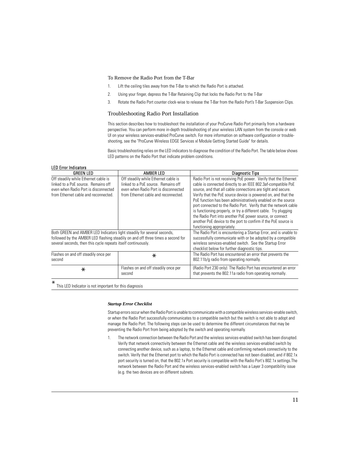#### To Remove the Radio Port from the T-Bar

- 1. Lift the ceiling tiles away from the T-Bar to which the Radio Port is attached.
- 2. Using your finger, depress the T-Bar Retaining Clip that locks the Radio Port to the T-Bar
- 3. Rotate the Radio Port counter clock-wise to release the T-Bar from the Radio Port's T-Bar Suspension Clips.

#### Troubleshooting Radio Port Installation

This section describes how to troubleshoot the installation of your ProCurve Radio Port primarily from a hardware perspective. You can perform more in-depth troubleshooting of your wireless LAN system from the console or web UI on your wireless services-enabled ProCurve switch. For more information on software configuration or troubleshooting, see the "ProCurve Wireless EDGE Services xl Module Getting Started Guide" for details.

Basic troubleshooting relies on the LED indicators to diagnose the condition of the Radio Port. The table below shows LED patterns on the Radio Port that indicate problem conditions.

#### LED Error Indicators

| <b>GREEN LED</b>                                                                                                                                                                                                            | AMBER LED                                                                                                                                                   | <b>Diagnostic Tips</b>                                                                                                                                                                                                                                                                                                                                                                                                                                                                                                                                                                                                              |
|-----------------------------------------------------------------------------------------------------------------------------------------------------------------------------------------------------------------------------|-------------------------------------------------------------------------------------------------------------------------------------------------------------|-------------------------------------------------------------------------------------------------------------------------------------------------------------------------------------------------------------------------------------------------------------------------------------------------------------------------------------------------------------------------------------------------------------------------------------------------------------------------------------------------------------------------------------------------------------------------------------------------------------------------------------|
| Off steadily while Ethernet cable is<br>linked to a PoE source. Remains off<br>even when Radio Port is disconnected<br>from Ethernet cable and reconnected.                                                                 | Off steadily while Ethernet cable is<br>linked to a PoE source. Remains off<br>even when Radio Port is disconnected<br>from Ethernet cable and reconnected. | Radio Port is not receiving PoE power. Verify that the Ethernet<br>cable is connected directly to an IEEE 802.3af-compatible PoE<br>source, and that all cable connections are tight and secure.<br>Verify that the PoE source device is powered on, and that the<br>PoE function has been administratively enabled on the source<br>port connected to the Radio Port. Verify that the network cable<br>is functioning properly, or try a different cable. Try plugging<br>the Radio Port into another PoE power source, or connect<br>another PoE device to the port to confirm if the PoE source is<br>functioning appropriately. |
| Both GREEN and AMBER LED Indicators light steadily for several seconds,<br>followed by the AMBER LED flashing steadily on and off three times a second for<br>several seconds, then this cycle repeats itself continuously. |                                                                                                                                                             | The Radio Port is encountering a Startup Error, and is unable to<br>successfully communicate with or be adopted by a compatible<br>wireless services-enabled switch. See the Startup Error<br>checklist below for further diagnostic tips.                                                                                                                                                                                                                                                                                                                                                                                          |
| Flashes on and off steadily once per<br>second                                                                                                                                                                              | $\ast$                                                                                                                                                      | The Radio Port has encountered an error that prevents the<br>802.11b/g radio from operating normally.                                                                                                                                                                                                                                                                                                                                                                                                                                                                                                                               |
| $\ast$                                                                                                                                                                                                                      | Flashes on and off steadily once per<br>second                                                                                                              | (Radio Port 230 only) The Radio Port has encountered an error<br>that prevents the 802.11a radio from operating normally.                                                                                                                                                                                                                                                                                                                                                                                                                                                                                                           |

\* This LED Indicator is not important for this diagnosis

#### *Startup Error Checklist*

Startup errors occur when the Radio Port is unable to communicate with a compatible wireless services-enable switch, or when the Radio Port successfully communicates to a compatible switch but the switch is not able to adopt and manage the Radio Port. The following steps can be used to determine the different circumstances that may be preventing the Radio Port from being adopted by the switch and operating normally.

1. The network connection between the Radio Port and the wireless services-enabled switch has been disrupted. Verify that network connectivity between the Ethernet cable and the wireless services-enabled switch by connecting another device, such as a laptop, to the Ethernet cable and confirming network connectivity to the switch. Verify that the Ethernet port to which the Radio Port is connected has not been disabled, and if 802.1x port security is turned on, that the 802.1x Port security is compatible with the Radio Port's 802.1x settings.The network between the Radio Port and the wireless services-enabled switch has a Layer 3 compatibility issue (e.g. the two devices are on different subnets.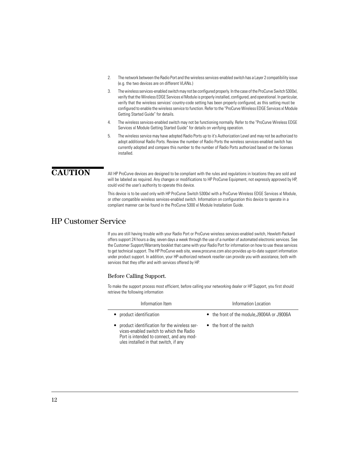- 2. The network between the Radio Port and the wireless services-enabled switch has a Layer 2 compatibility issue (e.g. the two devices are on different VLANs.)
- 3. The wireless services-enabled switch may not be configured properly. In the case of the ProCurve Switch 5300xl, verify that the Wireless EDGE Services xl Module is properly installed, configured, and operational. In particular, verify that the wireless services' country-code setting has been properly configured, as this setting must be configured to enable the wireless service to function. Refer to the "ProCurve Wireless EDGE Services xl Module Getting Started Guide" for details.
- 4. The wireless services-enabled switch may not be functioning normally. Refer to the "ProCurve Wireless EDGE Services xl Module Getting Started Guide" for details on verifying operation.
- 5. The wireless service may have adopted Radio Ports up to it's Authorization Level and may not be authorized to adopt additional Radio Ports. Review the number of Radio Ports the wireless services-enabled switch has currently adopted and compare this number to the number of Radio Ports authorized based on the licenses installed.

**CAUTION** All HP ProCurve devices are designed to be compliant with the rules and regulations in locations they are sold and will be labeled as required. Any changes or modifications to HP ProCurve Equipment, not expressly approved by HP. could void the user's authority to operate this device.

> This device is to be used only with HP ProCurve Switch 5300xl with a ProCurve Wireless EDGE Services xl Module, or other compatible wireless services-enabled switch. Information on configuration this device to operate in a compliant manner can be found in the ProCurve 5300 xl Module Installation Guide.

## HP Customer Service

If you are still having trouble with your Radio Port or ProCurve wireless services-enabled switch, Hewlett-Packard offers support 24 hours a day, seven days a week through the use of a number of automated electronic services. See the Customer Support/Warranty booklet that came with your Radio Port for information on how to use these services to get technical support. The HP ProCurve web site, www.procurve.com also provides up-to-date support information under product support. In addition, your HP-authorized network reseller can provide you with assistance, both with services that they offer and with services offered by HP.

#### Before Calling Support.

To make the support process most efficient, before calling your networking dealer or HP Support, you first should retrieve the following information

| Information Item                                                                                                                                                                | Information Location                        |
|---------------------------------------------------------------------------------------------------------------------------------------------------------------------------------|---------------------------------------------|
| • product identification                                                                                                                                                        | • the front of the module, J9004A or J9006A |
| • product identification for the wireless ser-<br>vices-enabled switch to which the Radio<br>Port is intended to connect, and any mod-<br>ules installed in that switch, if any | • the front of the switch                   |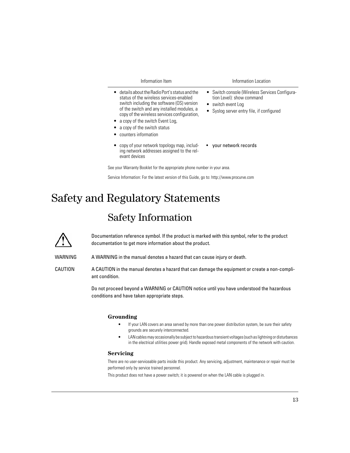| Information Item                                                                                                                                                                                                                                                                                                                               | Information Location                                                                                                                           |
|------------------------------------------------------------------------------------------------------------------------------------------------------------------------------------------------------------------------------------------------------------------------------------------------------------------------------------------------|------------------------------------------------------------------------------------------------------------------------------------------------|
| $\bullet$ details about the Radio Port's status and the<br>status of the wireless services-enabled<br>switch including the software (OS) version<br>of the switch and any installed modules, a<br>copy of the wireless services configuration,<br>• a copy of the switch Event Log,<br>• a copy of the switch status<br>• counters information | • Switch console (Wireless Services Configura-<br>tion Level): show command<br>• switch event Log<br>• Syslog server entry file, if configured |
| • copy of your network topology map, includ-<br>ing network addresses assigned to the rel-                                                                                                                                                                                                                                                     | • your network records                                                                                                                         |

See your Warranty Booklet for the appropriate phone number in your area.

Service Information: For the latest version of this Guide, go to: http://www.procurve.com

## Safety and Regulatory Statements

evant devices

## Safety Information

Documentation reference symbol. If the product is marked with this symbol, refer to the product documentation to get more information about the product.

WARNING A WARNING in the manual denotes a hazard that can cause injury or death.

CAUTION A CAUTION in the manual denotes a hazard that can damage the equipment or create a non-compliant condition.

> Do not proceed beyond a WARNING or CAUTION notice until you have understood the hazardous conditions and have taken appropriate steps.

#### **Grounding**

- If your LAN covers an area served by more than one power distribution system, be sure their safety grounds are securely interconnected.
- LAN cables may occasionally be subject to hazardous transient voltages (such as lightning or disturbances in the electrical utilities power grid). Handle exposed metal components of the network with caution.

#### **Servicing**

There are no user-serviceable parts inside this product. Any servicing, adjustment, maintenance or repair must be performed only by service trained personnel.

This product does not have a power switch; it is powered on when the LAN cable is plugged in.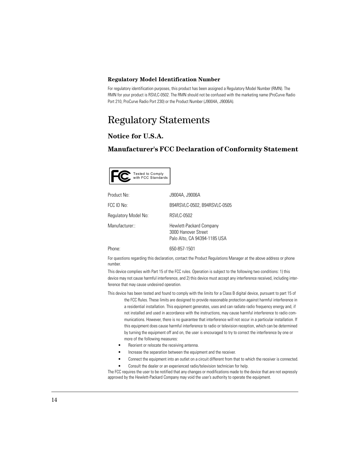#### **Regulatory Model Identification Number**

For regulatory identification purposes, this product has been assigned a Regulatory Model Number (RMN). The RMN for your product is RSVLC-0502. The RMN should not be confused with the marketing name (ProCurve Radio Port 210, ProCurve Radio Port 230) or the Product Number (J9004A, J9006A).

## Regulatory Statements

### **Notice for U.S.A.**

#### **Manufacturer's FCC Declaration of Conformity Statement**



| Product No:          | J9004A, J9006A                                                                 |
|----------------------|--------------------------------------------------------------------------------|
| FCC ID No:           | B94RSVLC-0502, B94RSVLC-0505                                                   |
| Regulatory Model No: | <b>RSVLC-0502</b>                                                              |
| Manufacturer::       | Hewlett-Packard Company<br>3000 Hanover Street<br>Palo Alto, CA 94394-1185 USA |
| Phone:               | 650-857-1501                                                                   |

For questions regarding this declaration, contact the Product Regulations Manager at the above address or phone number.

This device complies with Part 15 of the FCC rules. Operation is subject to the following two conditions: 1) this device may not cause harmful interference, and 2) this device must accept any interference received, including interference that may cause undesired operation.

- This device has been tested and found to comply with the limits for a Class B digital device, pursuant to part 15 of the FCC Rules. These limits are designed to provide reasonable protection against harmful interference in a residential installation. This equipment generates, uses and can radiate radio frequency energy and, if not installed and used in accordance with the instructions, may cause harmful interference to radio communications. However, there is no guarantee that interference will not occur in a particular installation. If this equipment does cause harmful interference to radio or television reception, which can be determined by turning the equipment off and on, the user is encouraged to try to correct the interference by one or more of the following measures:
	- Reorient or relocate the receiving antenna.
	- Increase the separation between the equipment and the receiver.
	- Connect the equipment into an outlet on a circuit different from that to which the receiver is connected.
	- Consult the dealer or an experienced radio/television technician for help.

The FCC requires the user to be notified that any changes or modifications made to the device that are not expressly approved by the Hewlett-Packard Company may void the user's authority to operate the equipment.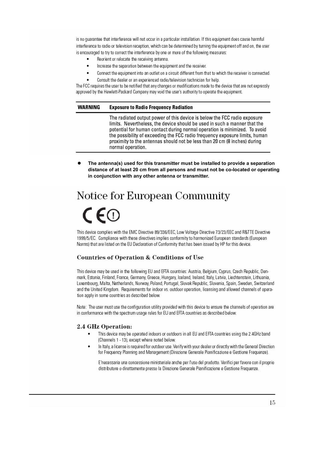is no quarantee that interference will not occur in a particular installation. If this equipment does cause harmful interference to radio or television reception, which can be determined by turning the equipment off and on, the user is encouraged to try to correct the interference by one or more of the following measures:

- Reorient or relocate the receiving antenna.
- Increase the separation between the equipment and the receiver.
- Connect the equipment into an outlet on a circuit different from that to which the receiver is connected.
- Consult the dealer or an experienced radio/television technician for help.

The FCC requires the user to be notified that any changes or modifications made to the device that are not expressly approved by the Hewlett-Packard Company may void the user's authority to operate the equipment.

#### **WARNING Exposure to Radio Frequency Radiation**

The radiated output power of this device is below the FCC radio exposure limits. Nevertheless, the device should be used in such a manner that the potential for human contact during normal operation is minimized. To avoid the possibility of exceeding the FCC radio frequency exposure limits, human proximity to the antennas should not be less than 20 cm (8 inches) during normal operation.

The antenna(s) used for this transmitter must be installed to provide a separation **distance of at least 20 cm from all persons and must not be co-located or operating in conjunction with any other antenna or transmitter.** 

# Notice for European Community

# $\mathsf{CE}$

This device complies with the EMC Directive 89/336/EEC, Low Voltage Directive 73/23/EEC and R&TTE Directive 1999/5/EC. Compliance with these directives implies conformity to harmonized European standards (European Norms) that are listed on the EU Declaration of Conformity that has been issued by HP for this device.

#### **Countries of Operation & Conditions of Use**

This device may be used in the following EU and EFTA countries: Austria, Belgium, Cyprus, Czech Republic, Denmark, Estonia, Finland, France, Germany, Greece, Hungary, Iceland, Ireland, Italy, Latvia, Liechtenstein, Lithuania, Luxembourg, Malta, Netherlands, Norway, Poland, Portugal, Slovak Republic, Slovenia, Spain, Sweden, Switzerland and the United Kingdom. Requirements for indoor vs. outdoor operation, licensing and allowed channels of operation apply in some countries as described below.

Note: The user must use the confinuration utility provided with this device to ensure the channels of operation are in conformance with the spectrum usage rules for EU and EFTA countries as described below.

#### 2.4 GHz Operation:

- This device may be operated indoors or outdoors in all EU and EFTA countries using the 2.4GHz band (Channels 1 - 13), except where noted below.
- In Italy, a license is required for outdoor use. Verify with your dealer or directly with the General Direction for Frequency Planning and Management (Direzione Generale Pianificazione e Gestione Frequenze).

E'necessaria una concessione ministeriale anche per l'uso del prodotto. Verifici per favore con il proprio distributore o direttamente presso la Direzione Generale Pianificazione e Gestione Frequenze.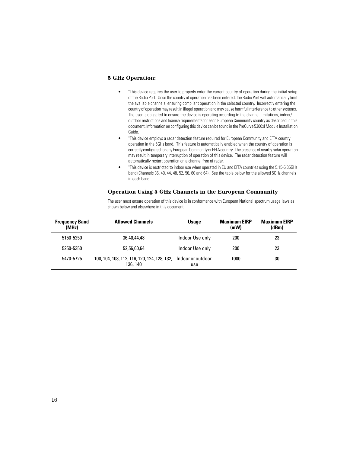#### **5 GHz Operation:**

- "This device requires the user to properly enter the current country of operation during the initial setup of the Radio Port. Once the country of operation has been entered, the Radio Port will automatically limit the available channels, ensuring compliant operation in the selected country. Incorrectly entering the country of operation may result in illegal operation and may cause harmful interference to other systems. The user is obligated to ensure the device is operating according to the channel limitations, indoor/ outdoor restrictions and license requirements for each European Community country as described in this document. Information on configuring this device can be found in the ProCurve 5300xl Module Installation Guide.
- "This device employs a radar detection feature required for European Community and EFTA country operation in the 5GHz band. This feature is automatically enabled when the country of operation is correctly configured for any European Community or EFTA country. The presence of nearby radar operation may result in temporary interruption of operation of this device. The radar detection feature will automatically restart operation on a channel free of radar.
- "This device is restricted to indoor use when operated in EU and EFTA countries using the 5.15-5.35GHz band (Channels 36, 40, 44, 48, 52, 56, 60 and 64). See the table below for the allowed 5GHz channels in each band.

#### **Operation Using 5 GHz Channels in the European Community**

The user must ensure operation of this device is in conformance with European National spectrum usage laws as shown below and elsewhere in this document.

| <b>Frequency Band</b><br>(MHz) | <b>Allowed Channels</b>                                                    | <b>Usage</b>    | <b>Maximum EIRP</b><br>(mW) | <b>Maximum EIRP</b><br>(dBm) |
|--------------------------------|----------------------------------------------------------------------------|-----------------|-----------------------------|------------------------------|
| 5150-5250                      | 36,40,44,48                                                                | Indoor Use only | 200                         | 23                           |
| 5250-5350                      | 52,56,60,64                                                                | Indoor Use only | 200                         | 23                           |
| 5470-5725                      | 100, 104, 108, 112, 116, 120, 124, 128, 132, Indoor or outdoor<br>136, 140 | use             | 1000                        | 30                           |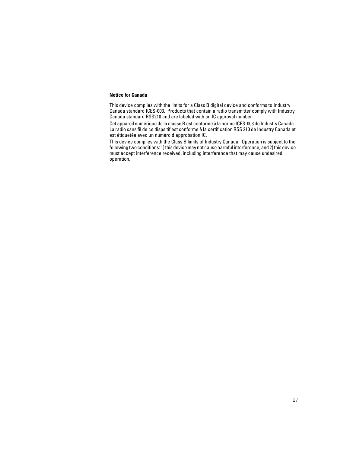#### **Notice for Canada**

This device complies with the limits for a Class B digital device and conforms to Industry Canada standard ICES-003. Products that contain a radio transmitter comply with Industry Canada standard RSS210 and are labeled with an IC approval number.

Cet appareil numérique de la classe B est conforme à la norme ICES-003 de Industry Canada. La radio sans fil de ce dispsitif est conforme à la certification RSS 210 de Industry Canada et est étiquetée avec un numéro d'approbation IC.

This device complies with the Class B limits of Industry Canada. Operation is subject to the following two conditions: 1) this device may not cause harmful interference, and 2) this device must accept interference received, including interference that may cause undesired operation.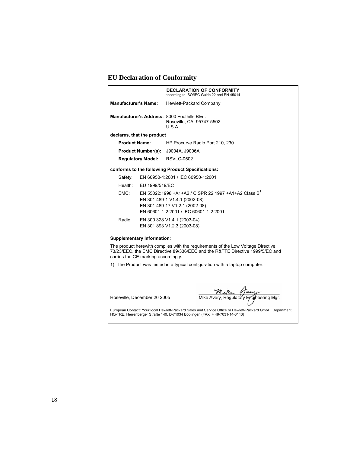## **EU Declaration of Conformity**

|                                                                                                                                                                                                          |                                                                                                                                                                               | <b>DECLARATION OF CONFORMITY</b><br>according to ISO/IEC Guide 22 and EN 45014     |
|----------------------------------------------------------------------------------------------------------------------------------------------------------------------------------------------------------|-------------------------------------------------------------------------------------------------------------------------------------------------------------------------------|------------------------------------------------------------------------------------|
| <b>Manufacturer's Name:</b>                                                                                                                                                                              |                                                                                                                                                                               | Hewlett-Packard Company                                                            |
|                                                                                                                                                                                                          |                                                                                                                                                                               | Manufacturer's Address: 8000 Foothills Blvd.<br>Roseville, CA 95747-5502<br>U.S.A. |
| declares, that the product                                                                                                                                                                               |                                                                                                                                                                               |                                                                                    |
| <b>Product Name:</b>                                                                                                                                                                                     |                                                                                                                                                                               | HP Procurve Radio Port 210, 230                                                    |
| <b>Product Number(s):</b>                                                                                                                                                                                |                                                                                                                                                                               | J9004A, J9006A                                                                     |
| <b>Regulatory Model:</b>                                                                                                                                                                                 |                                                                                                                                                                               | <b>RSVLC-0502</b>                                                                  |
|                                                                                                                                                                                                          |                                                                                                                                                                               | conforms to the following Product Specifications:                                  |
| Safety:                                                                                                                                                                                                  |                                                                                                                                                                               | EN 60950-1:2001 / IEC 60950-1:2001                                                 |
| Health:                                                                                                                                                                                                  | EU 1999/519/EC                                                                                                                                                                |                                                                                    |
| EMC:                                                                                                                                                                                                     | EN 55022:1998 +A1+A2 / CISPR 22:1997 +A1+A2 Class B <sup>1</sup><br>EN 301 489-1 V1.4.1 (2002-08)<br>EN 301 489-17 V1.2.1 (2002-08)<br>EN 60601-1-2:2001 / IEC 60601-1-2:2001 |                                                                                    |
| Radio:                                                                                                                                                                                                   | EN 300 328 V1.4.1 (2003-04)<br>EN 301 893 V1.2.3 (2003-08)                                                                                                                    |                                                                                    |
| <b>Supplementary Information:</b>                                                                                                                                                                        |                                                                                                                                                                               |                                                                                    |
| The product herewith complies with the requirements of the Low Voltage Directive<br>73/23/EEC, the EMC Directive 89/336/EEC and the R&TTE Directive 1999/5/EC and<br>carries the CE marking accordingly. |                                                                                                                                                                               |                                                                                    |
|                                                                                                                                                                                                          |                                                                                                                                                                               | 1) The Product was tested in a typical configuration with a laptop computer.       |
|                                                                                                                                                                                                          |                                                                                                                                                                               |                                                                                    |
| Roseville, December 20 2005                                                                                                                                                                              |                                                                                                                                                                               | Multe 1<br>eerina Mar.                                                             |
| European Contact: Your local Hewlett-Packard Sales and Service Office or Hewlett-Packard GmbH, Department<br>HQ-TRE, Herrenberger Straße 140, D-71034 Böblingen (FAX: + 49-7031-14-3143)                 |                                                                                                                                                                               |                                                                                    |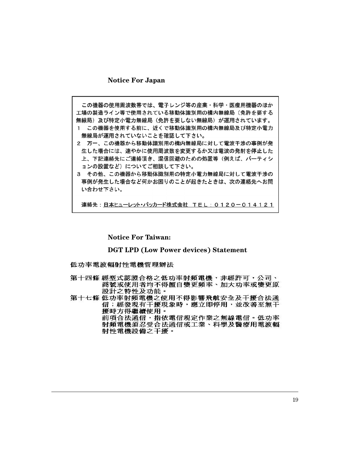#### **Notice For Japan**

この機器の使用周波数帯では、電子レンジ等の産業・科学・医療用機器のほか 工場の製造ライン等で使用されている移動体識別用の構内無線局(免許を要する 無線局)及び特定小電力無線局(免許を要しない無線局)が運用されています。

- 1 この機器を使用する前に、近くで移動体識別用の構内無線局及び特定小電力 無線局が運用されていないことを確認して下さい。
- 2 万一、この機器から移動体識別用の構内無線局に対して電波干渉の事例が発 生した場合には、速やかに使用周波数を変更するか又は電波の発射を停止した 上、下記連絡先にご連絡頂き、混信回避のための処置等(例えば、パーティシ ョンの設置など)についてご相談して下さい。
- 3 その他、この機器から移動体識別用の特定小電力無線局に対して電波干渉の 事例が発生した場合など何かお困りのことが起きたときは、次の連絡先へお問 い合わせ下さい。

連絡先:日本ヒューレット・パッカード株式会社 TEL:0120-014121

#### **Notice For Taiwan:**

#### **DGT LPD (Low Power devices) Statement**

低功率電波輻射性電機管理辦法

- 第十四條 經型式認證合格之低功率射頻電機,非經許可,公司、 商號或使用者均不得擅自變更頻率、加大功率或變更原 設計之特性及功能。
- 第十七條 低功率射頻電機之使用不得影響飛航安全及干擾合法通 信;經發現有干擾現象時,應立即停用,並改善至無干 擾時方得繼續使用。 前項合法通信, 指依電信規定作業之無線電信 · 低功率 射頻電機須忍受合法通信或工業、科學及醫療用電波輻 射性電機設備之干擾·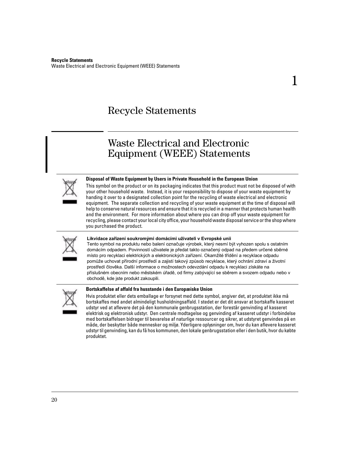## Recycle Statements

## Waste Electrical and Electronic Equipment (WEEE) Statements



#### **Disposal of Waste Equipment by Users in Private Household in the European Union**

This symbol on the product or on its packaging indicates that this product must not be disposed of with your other household waste. Instead, it is your responsibility to dispose of your waste equipment by handing it over to a designated collection point for the recycling of waste electrical and electronic equipment. The separate collection and recycling of your waste equipment at the time of disposal will help to conserve natural resources and ensure that it is recycled in a manner that protects human health and the environment. For more information about where you can drop off your waste equipment for recycling, please contact your local city office, your household waste disposal service or the shop where you purchased the product.

1



#### **Likvidace zařízení soukromými domácími uživateli v Evropské unii**

Tento symbol na produktu nebo balení označuje výrobek, který nesmí být vyhozen spolu s ostatním domácím odpadem. Povinností uživatele je předat takto označený odpad na předem určené sběrné místo pro recyklaci elektrických a elektronických zařízení. Okamžité třídění a recyklace odpadu pomůže uchovat přírodní prostředí a zajistí takový způsob recyklace, který ochrání zdraví a životní prostředí člověka. Další informace o možnostech odevzdání odpadu k recyklaci získáte na příslušném obecním nebo městském úřadě, od firmy zabývající se sběrem a svozem odpadu nebo v obchodě, kde jste produkt zakoupili.



#### **Bortskaffelse af affald fra husstande i den Europæiske Union**

Hvis produktet eller dets emballage er forsynet med dette symbol, angiver det, at produktet ikke må bortskaffes med andet almindeligt husholdningsaffald. I stedet er det dit ansvar at bortskaffe kasseret udstyr ved at aflevere det på den kommunale genbrugsstation, der forestår genvinding af kasseret elektrisk og elektronisk udstyr. Den centrale modtagelse og genvinding af kasseret udstyr i forbindelse med bortskaffelsen bidrager til bevarelse af naturlige ressourcer og sikrer, at udstyret genvindes på en måde, der beskytter både mennesker og miljø. Yderligere oplysninger om, hvor du kan aflevere kasseret udstyr til genvinding, kan du få hos kommunen, den lokale genbrugsstation eller i den butik, hvor du købte produktet.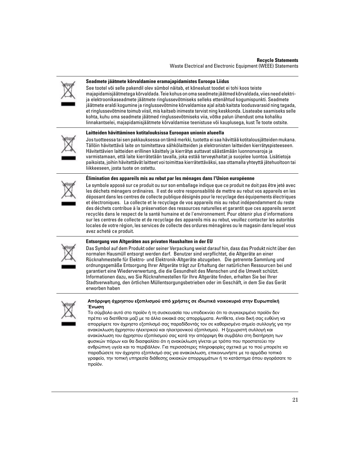

#### **Seadmete jäätmete kõrvaldamine eramajapidamistes Euroopa Liidus**

See tootel või selle pakendil olev sümbol näitab, et kõnealust toodet ei tohi koos teiste majapidamisjäätmetega kõrvaldada. Teie kohus on oma seadmete jäätmed kõrvaldada, viies need elektrija elektroonikaseadmete jäätmete ringlussevõtmiseks selleks ettenähtud kogumispunkti. Seadmete jäätmete eraldi kogumine ja ringlussevõtmine kõrvaldamise ajal aitab kaitsta loodusvarasid ning tagada, et ringlussevõtmine toimub viisil, mis kaitseb inimeste tervist ning keskkonda. Lisateabe saamiseks selle kohta, kuhu oma seadmete jäätmed ringlussevõtmiseks viia, võtke palun ühendust oma kohaliku linnakantselei, majapidamisjäätmete kõrvaldamise teenistuse või kauplusega, kust Te toote ostsite.

#### **Laitteiden hävittäminen kotitalouksissa Euroopan unionin alueella**



Jos tuotteessa tai sen pakkauksessa on tämä merkki, tuotetta ei saa hävittää kotitalousjätteiden mukana. Tällöin hävitettävä laite on toimitettava sähkölaitteiden ja elektronisten laitteiden kierrätyspisteeseen. Hävitettävien laitteiden erillinen käsittely ja kierrätys auttavat säästämään luonnonvaroja ja varmistamaan, että laite kierrätetään tavalla, joka estää terveyshaitat ja suojelee luontoa. Lisätietoja paikoista, joihin hävitettävät laitteet voi toimittaa kierrätettäväksi, saa ottamalla yhteyttä jätehuoltoon tai liikkeeseen, josta tuote on ostettu.

#### **Élimination des appareils mis au rebut par les ménages dans l'Union européenne**



Le symbole apposé sur ce produit ou sur son emballage indique que ce produit ne doit pas être jeté avec les déchets ménagers ordinaires. Il est de votre responsabilité de mettre au rebut vos appareils en les déposant dans les centres de collecte publique désignés pour le recyclage des équipements électriques et électroniques. La collecte et le recyclage de vos appareils mis au rebut indépendamment du reste des déchets contribue à la préservation des ressources naturelles et garantit que ces appareils seront recyclés dans le respect de la santé humaine et de l'environnement. Pour obtenir plus d'informations sur les centres de collecte et de recyclage des appareils mis au rebut, veuillez contacter les autorités locales de votre région, les services de collecte des ordures ménagères ou le magasin dans lequel vous avez acheté ce produit.



#### **Entsorgung von Altgeräten aus privaten Haushalten in der EU**

Das Symbol auf dem Produkt oder seiner Verpackung weist darauf hin, dass das Produkt nicht über den normalen Hausmüll entsorgt werden darf. Benutzer sind verpflichtet, die Altgeräte an einer Rücknahmestelle für Elektro- und Elektronik-Altgeräte abzugeben. Die getrennte Sammlung und ordnungsgemäße Entsorgung Ihrer Altgeräte trägt zur Erhaltung der natürlichen Ressourcen bei und garantiert eine Wiederverwertung, die die Gesundheit des Menschen und die Umwelt schützt. Informationen dazu, wo Sie Rücknahmestellen für Ihre Altgeräte finden, erhalten Sie bei Ihrer Stadtverwaltung, den örtlichen Müllentsorgungsbetrieben oder im Geschäft, in dem Sie das Gerät erworben haben



#### **Απόρριψη άχρηστου εξοπλισμού από χρήστες σε ιδιωτικά νοικοκυριά στην Ευρωπαϊκή Ένωση**

Το σύμβολο αυτό στο προϊόν ή τη συσκευασία του υποδεικνύει ότι το συγκεκριμένο προϊόν δεν πρέπει να διατίθεται μαζί με τα άλλα οικιακά σας απορρίμματα. Αντίθετα, είναι δική σας ευθύνη να απορρίψετε τον άχρηστο εξοπλισμό σας παραδίδοντάς τον σε καθορισμένο σημείο συλλογής για την ανακύκλωση άχρηστου ηλεκτρικού και ηλεκτρονικού εξοπλισμού. Η ξεχωριστή συλλογή και ανακύκλωση του άχρηστου εξοπλισμού σας κατά την απόρριψη θα συμβάλει στη διατήρηση των φυσικών πόρων και θα διασφαλίσει ότι η ανακύκλωση γίνεται με τρόπο που προστατεύει την ανθρώπινη υγεία και το περιβάλλον. Για περισσότερες πληροφορίες σχετικά με το πού μπορείτε να παραδώσετε τον άχρηστο εξοπλισμό σας για ανακύκλωση, επικοινωνήστε με το αρμόδιο τοπικό γραφείο, την τοπική υπηρεσία διάθεσης οικιακών απορριμμάτων ή το κατάστημα όπου αγοράσατε το προϊόν.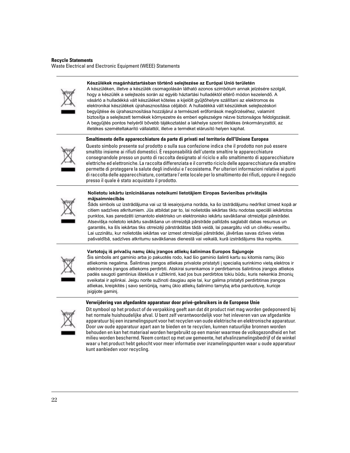#### **Készülékek magánháztartásban történő selejtezése az Európai Unió területén**



A készüléken, illetve a készülék csomagolásán látható azonos szimbólum annak jelzésére szolgál, hogy a készülék a selejtezés során az egyéb háztartási hulladéktól eltérő módon kezelendő. A vásárló a hulladékká vált készüléket köteles a kijelölt gyűjtőhelyre szállítani az elektromos és elektronikai készülékek újrahasznosítása céljából. A hulladékká vált készülékek selejtezéskori begyűjtése és újrahasznosítása hozzájárul a természeti erőforrások megőrzéséhez, valamint biztosítja a selejtezett termékek környezetre és emberi egészségre nézve biztonságos feldolgozását. A begyűjtés pontos helyéről bővebb tájékoztatást a lakhelye szerint illetékes önkormányzattól, az illetékes szemételtakarító vállalattól, illetve a terméket elárusító helyen kaphat.

#### **Smaltimento delle apparecchiature da parte di privati nel territorio dell'Unione Europea**



Questo simbolo presente sul prodotto o sulla sua confezione indica che il prodotto non può essere smaltito insieme ai rifiuti domestici. È responsabilità dell'utente smaltire le apparecchiature consegnandole presso un punto di raccolta designato al riciclo e allo smaltimento di apparecchiature elettriche ed elettroniche. La raccolta differenziata e il corretto riciclo delle apparecchiature da smaltire permette di proteggere la salute degli individui e l'ecosistema. Per ulteriori informazioni relative ai punti di raccolta delle apparecchiature, contattare l'ente locale per lo smaltimento dei rifiuti, oppure il negozio presso il quale è stato acquistato il prodotto.

#### **Nolietotu iekārtu iznīcināšanas noteikumi lietotājiem Eiropas Savienības privātajās mājsaimniecībās**



Šāds simbols uz izstrādājuma vai uz tā iesaiņojuma norāda, ka šo izstrādājumu nedrīkst izmest kopā ar citiem sadzīves atkritumiem. Jūs atbildat par to, lai nolietotās iekārtas tiktu nodotas speciāli iekārtotos punktos, kas paredzēti izmantoto elektrisko un elektronisko iekārtu savākšanai otrreizējai pārstrādei. Atsevišķa nolietoto iekārtu savākšana un otrreizējā pārstrāde palīdzēs saglabāt dabas resursus un garantēs, ka šīs iekārtas tiks otrreizēji pārstrādātas tādā veidā, lai pasargātu vidi un cilvēku veselību. Lai uzzinātu, kur nolietotās iekārtas var izmest otrreizējai pārstrādei, jāvēršas savas dzīves vietas pašvaldībā, sadzīves atkritumu savākšanas dienestā vai veikalā, kurā izstrādājums tika nopirkts.



**Vartotojų iš privačių namų ūkių įrangos atliekų šalinimas Europos Sąjungoje** 

Šis simbolis ant gaminio arba jo pakuotės rodo, kad šio gaminio šalinti kartu su kitomis namų ūkio atliekomis negalima. Šalintinas įrangos atliekas privalote pristatyti į specialią surinkimo vietą elektros ir elektroninės įrangos atliekoms perdirbti. Atskirai surenkamos ir perdirbamos šalintinos įrangos atliekos padės saugoti gamtinius išteklius ir užtikrinti, kad jos bus perdirbtos tokiu būdu, kuris nekenkia žmonių sveikatai ir aplinkai. Jeigu norite sužinoti daugiau apie tai, kur galima pristatyti perdirbtinas įrangos atliekas, kreipkitės į savo seniūniją, namų ūkio atliekų šalinimo tarnybą arba parduotuvę, kurioje įsigijote gaminį.

#### **Verwijdering van afgedankte apparatuur door privé-gebruikers in de Europese Unie**



Dit symbool op het product of de verpakking geeft aan dat dit product niet mag worden gedeponeerd bij het normale huishoudelijke afval. U bent zelf verantwoordelijk voor het inleveren van uw afgedankte apparatuur bij een inzamelingspunt voor het recyclen van oude elektrische en elektronische apparatuur. Door uw oude apparatuur apart aan te bieden en te recyclen, kunnen natuurlijke bronnen worden behouden en kan het materiaal worden hergebruikt op een manier waarmee de volksgezondheid en het milieu worden beschermd. Neem contact op met uw gemeente, het afvalinzamelingsbedrijf of de winkel waar u het product hebt gekocht voor meer informatie over inzamelingspunten waar u oude apparatuur kunt aanbieden voor recycling.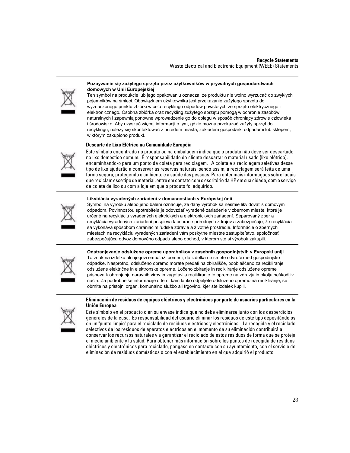

#### **Pozbywanie się zużytego sprzętu przez użytkowników w prywatnych gospodarstwach domowych w Unii Europejskiej**

Ten symbol na produkcie lub jego opakowaniu oznacza, że produktu nie wolno wyrzucać do zwykłych pojemników na śmieci. Obowiązkiem użytkownika jest przekazanie zużytego sprzętu do wyznaczonego punktu zbiórki w celu recyklingu odpadów powstałych ze sprzętu elektrycznego i elektronicznego. Osobna zbiórka oraz recykling zużytego sprzętu pomogą w ochronie zasobów naturalnych i zapewnią ponowne wprowadzenie go do obiegu w sposób chroniący zdrowie człowieka i środowisko. Aby uzyskać więcej informacji o tym, gdzie można przekazać zużyty sprzęt do recyklingu, należy się skontaktować z urzędem miasta, zakładem gospodarki odpadami lub sklepem, w którym zakupiono produkt.

#### **Descarte de Lixo Elétrico na Comunidade Européia**



Este símbolo encontrado no produto ou na embalagem indica que o produto não deve ser descartado no lixo doméstico comum. É responsabilidade do cliente descartar o material usado (lixo elétrico), encaminhando-o para um ponto de coleta para reciclagem. A coleta e a reciclagem seletivas desse tipo de lixo ajudarão a conservar as reservas naturais; sendo assim, a reciclagem será feita de uma forma segura, protegendo o ambiente e a saúde das pessoas. Para obter mais informações sobre locais que reciclam esse tipo de material, entre em contato com o escritório da HP em sua cidade, com o serviço de coleta de lixo ou com a loja em que o produto foi adquirido.

#### **Likvidácia vyradených zariadení v domácnostiach v Európskej únii**



Symbol na výrobku alebo jeho balení označuje, že daný výrobok sa nesmie likvidovať s domovým odpadom. Povinnosťou spotrebiteľa je odovzdať vyradené zariadenie v zbernom mieste, ktoré je určené na recykláciu vyradených elektrických a elektronických zariadení. Separovaný zber a recyklácia vyradených zariadení prispieva k ochrane prírodných zdrojov a zabezpečuje, že recyklácia sa vykonáva spôsobom chrániacim ľudské zdravie a životné prostredie. Informácie o zberných miestach na recykláciu vyradených zariadení vám poskytne miestne zastupiteľstvo, spoločnosť zabezpečujúca odvoz domového odpadu alebo obchod, v ktorom ste si výrobok zakúpili.



**Odstranjevanje odslužene opreme uporabnikov v zasebnih gospodinjstvih v Evropski uniji**  Ta znak na izdelku ali njegovi embalaži pomeni, da izdelka ne smete odvreči med gospodinjske odpadke. Nasprotno, odsluženo opremo morate predati na zbirališče, pooblaščeno za recikliranje odslužene električne in elektronske opreme. Ločeno zbiranje in recikliranje odslužene opreme prispeva k ohranjanju naravnih virov in zagotavlja recikliranje te opreme na zdravju in okolju neškodljiv način. Za podrobnejše informacije o tem, kam lahko odpeljete odsluženo opremo na recikliranje, se obrnite na pristojni organ, komunalno službo ali trgovino, kjer ste izdelek kupili.

#### **Eliminación de residuos de equipos eléctricos y electrónicos por parte de usuarios particulares en la Unión Europea**



Este símbolo en el producto o en su envase indica que no debe eliminarse junto con los desperdicios generales de la casa. Es responsabilidad del usuario eliminar los residuos de este tipo depositándolos en un "punto limpio" para el reciclado de residuos eléctricos y electrónicos. La recogida y el reciclado selectivos de los residuos de aparatos eléctricos en el momento de su eliminación contribuirá a conservar los recursos naturales y a garantizar el reciclado de estos residuos de forma que se proteja el medio ambiente y la salud. Para obtener más información sobre los puntos de recogida de residuos eléctricos y electrónicos para reciclado, póngase en contacto con su ayuntamiento, con el servicio de eliminación de residuos domésticos o con el establecimiento en el que adquirió el producto.